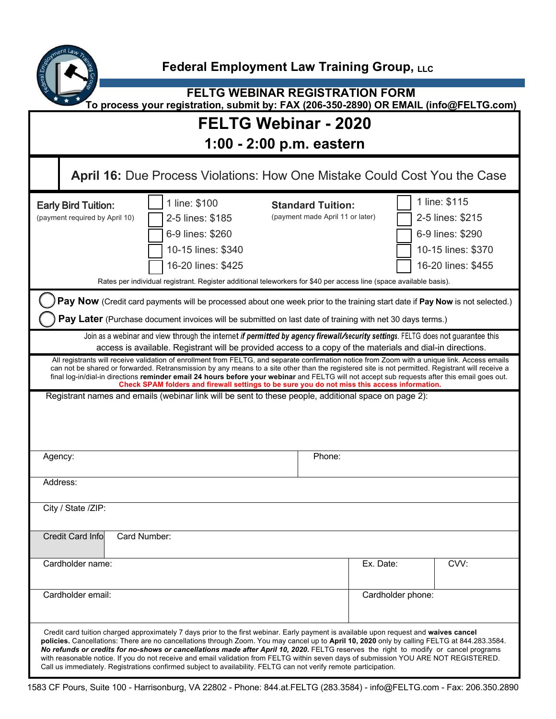

**FELTG WEBINAR REGISTRATION FORM To process your registration, submit by: FAX (206-350-2890) OR EMAIL (info@FELTG.com)**

## **FELTG Webinar - 2020**

| 1:00 - 2:00 p.m. eastern |  |  |
|--------------------------|--|--|
|--------------------------|--|--|

| April 16: Due Process Violations: How One Mistake Could Cost You the Case                                                                                                                                                                                                                                                                                                                                                                                                                                                                                                                                                                                                                   |                                                                                                                                                                                                                         |                                                              |           |                                                                                                   |  |
|---------------------------------------------------------------------------------------------------------------------------------------------------------------------------------------------------------------------------------------------------------------------------------------------------------------------------------------------------------------------------------------------------------------------------------------------------------------------------------------------------------------------------------------------------------------------------------------------------------------------------------------------------------------------------------------------|-------------------------------------------------------------------------------------------------------------------------------------------------------------------------------------------------------------------------|--------------------------------------------------------------|-----------|---------------------------------------------------------------------------------------------------|--|
| <b>Early Bird Tuition:</b><br>(payment required by April 10)                                                                                                                                                                                                                                                                                                                                                                                                                                                                                                                                                                                                                                | 1 line: \$100<br>2-5 lines: \$185<br>6-9 lines: \$260<br>10-15 lines: \$340<br>16-20 lines: \$425<br>Rates per individual registrant. Register additional teleworkers for \$40 per access line (space available basis). | <b>Standard Tuition:</b><br>(payment made April 11 or later) |           | 1 line: \$115<br>2-5 lines: \$215<br>6-9 lines: \$290<br>10-15 lines: \$370<br>16-20 lines: \$455 |  |
| Pay Now (Credit card payments will be processed about one week prior to the training start date if Pay Now is not selected.)<br>Pay Later (Purchase document invoices will be submitted on last date of training with net 30 days terms.)                                                                                                                                                                                                                                                                                                                                                                                                                                                   |                                                                                                                                                                                                                         |                                                              |           |                                                                                                   |  |
| Join as a webinar and view through the internet if permitted by agency firewall/security settings. FELTG does not guarantee this<br>access is available. Registrant will be provided access to a copy of the materials and dial-in directions.                                                                                                                                                                                                                                                                                                                                                                                                                                              |                                                                                                                                                                                                                         |                                                              |           |                                                                                                   |  |
| All registrants will receive validation of enrollment from FELTG, and separate confirmation notice from Zoom with a unique link. Access emails<br>can not be shared or forwarded. Retransmission by any means to a site other than the registered site is not permitted. Registrant will receive a<br>final log-in/dial-in directions reminder email 24 hours before your webinar and FELTG will not accept sub requests after this email goes out.<br>Check SPAM folders and firewall settings to be sure you do not miss this access information.                                                                                                                                         |                                                                                                                                                                                                                         |                                                              |           |                                                                                                   |  |
|                                                                                                                                                                                                                                                                                                                                                                                                                                                                                                                                                                                                                                                                                             | Registrant names and emails (webinar link will be sent to these people, additional space on page 2):                                                                                                                    |                                                              |           |                                                                                                   |  |
| Agency:                                                                                                                                                                                                                                                                                                                                                                                                                                                                                                                                                                                                                                                                                     |                                                                                                                                                                                                                         | Phone:                                                       |           |                                                                                                   |  |
| Address:                                                                                                                                                                                                                                                                                                                                                                                                                                                                                                                                                                                                                                                                                    |                                                                                                                                                                                                                         |                                                              |           |                                                                                                   |  |
| City / State /ZIP:                                                                                                                                                                                                                                                                                                                                                                                                                                                                                                                                                                                                                                                                          |                                                                                                                                                                                                                         |                                                              |           |                                                                                                   |  |
| <b>Credit Card Info</b><br>Card Number:                                                                                                                                                                                                                                                                                                                                                                                                                                                                                                                                                                                                                                                     |                                                                                                                                                                                                                         |                                                              |           |                                                                                                   |  |
| Cardholder name:                                                                                                                                                                                                                                                                                                                                                                                                                                                                                                                                                                                                                                                                            |                                                                                                                                                                                                                         |                                                              | Ex. Date: | CVV:                                                                                              |  |
| Cardholder email:                                                                                                                                                                                                                                                                                                                                                                                                                                                                                                                                                                                                                                                                           |                                                                                                                                                                                                                         | Cardholder phone:                                            |           |                                                                                                   |  |
| Credit card tuition charged approximately 7 days prior to the first webinar. Early payment is available upon request and waives cancel<br>policies. Cancellations: There are no cancellations through Zoom. You may cancel up to April 10, 2020 only by calling FELTG at 844.283.3584.<br>No refunds or credits for no-shows or cancellations made after April 10, 2020. FELTG reserves the right to modify or cancel programs<br>with reasonable notice. If you do not receive and email validation from FELTG within seven days of submission YOU ARE NOT REGISTERED.<br>Call us immediately. Registrations confirmed subject to availability. FELTG can not verify remote participation. |                                                                                                                                                                                                                         |                                                              |           |                                                                                                   |  |